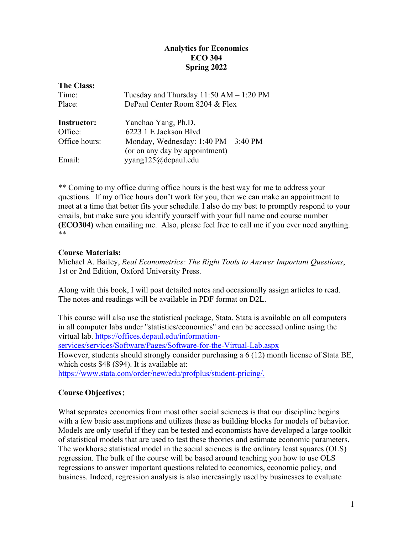# **Analytics for Economics ECO 304 Spring 2022**

| <b>The Class:</b>  |                                                                                          |
|--------------------|------------------------------------------------------------------------------------------|
| Time:              | Tuesday and Thursday $11:50$ AM $- 1:20$ PM                                              |
| Place:             | DePaul Center Room 8204 & Flex                                                           |
| <b>Instructor:</b> | Yanchao Yang, Ph.D.                                                                      |
| Office:            | 6223 1 E Jackson Blvd                                                                    |
| Office hours:      | Monday, Wednesday: $1:40 \text{ PM} - 3:40 \text{ PM}$<br>(or on any day by appointment) |
| Email:             | yyang125@depaul.edu                                                                      |

\*\* Coming to my office during office hours is the best way for me to address your questions. If my office hours don't work for you, then we can make an appointment to meet at a time that better fits your schedule. I also do my best to promptly respond to your emails, but make sure you identify yourself with your full name and course number **(ECO304)** when emailing me. Also, please feel free to call me if you ever need anything. \*\*

## **Course Materials:**

Michael A. Bailey, *Real Econometrics: The Right Tools to Answer Important Questions*, 1st or 2nd Edition, Oxford University Press.

Along with this book, I will post detailed notes and occasionally assign articles to read. The notes and readings will be available in PDF format on D2L.

This course will also use the statistical package, Stata. Stata is available on all computers in all computer labs under "statistics/economics" and can be accessed online using the virtual lab. [https://offices.depaul.edu/information-](https://offices.depaul.edu/information-services/services/Software/Pages/Software-for-the-Virtual-Lab.aspx)

[services/services/Software/Pages/Software-for-the-Virtual-Lab.aspx](https://offices.depaul.edu/information-services/services/Software/Pages/Software-for-the-Virtual-Lab.aspx)

However, students should strongly consider purchasing a 6 (12) month license of Stata BE, which costs \$48 (\$94). It is available at:

https://www.stata.com/order/new/edu/profplus/student-pricing/.

# **Course Objectives**:

What separates economics from most other social sciences is that our discipline begins with a few basic assumptions and utilizes these as building blocks for models of behavior. Models are only useful if they can be tested and economists have developed a large toolkit of statistical models that are used to test these theories and estimate economic parameters. The workhorse statistical model in the social sciences is the ordinary least squares (OLS) regression. The bulk of the course will be based around teaching you how to use OLS regressions to answer important questions related to economics, economic policy, and business. Indeed, regression analysis is also increasingly used by businesses to evaluate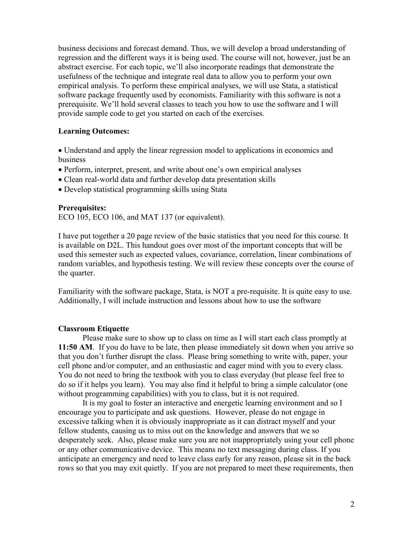business decisions and forecast demand. Thus, we will develop a broad understanding of regression and the different ways it is being used. The course will not, however, just be an abstract exercise. For each topic, we'll also incorporate readings that demonstrate the usefulness of the technique and integrate real data to allow you to perform your own empirical analysis. To perform these empirical analyses, we will use Stata, a statistical software package frequently used by economists. Familiarity with this software is not a prerequisite. We'll hold several classes to teach you how to use the software and I will provide sample code to get you started on each of the exercises.

#### **Learning Outcomes:**

• Understand and apply the linear regression model to applications in economics and business

- Perform, interpret, present, and write about one's own empirical analyses
- Clean real-world data and further develop data presentation skills
- Develop statistical programming skills using Stata

#### **Prerequisites:**

ECO 105, ECO 106, and MAT 137 (or equivalent).

I have put together a 20 page review of the basic statistics that you need for this course. It is available on D2L. This handout goes over most of the important concepts that will be used this semester such as expected values, covariance, correlation, linear combinations of random variables, and hypothesis testing. We will review these concepts over the course of the quarter.

Familiarity with the software package, Stata, is NOT a pre-requisite. It is quite easy to use. Additionally, I will include instruction and lessons about how to use the software

#### **Classroom Etiquette**

Please make sure to show up to class on time as I will start each class promptly at **11:50 AM**. If you do have to be late, then please immediately sit down when you arrive so that you don't further disrupt the class. Please bring something to write with, paper, your cell phone and/or computer, and an enthusiastic and eager mind with you to every class. You do not need to bring the textbook with you to class everyday (but please feel free to do so if it helps you learn). You may also find it helpful to bring a simple calculator (one without programming capabilities) with you to class, but it is not required.

It is my goal to foster an interactive and energetic learning environment and so I encourage you to participate and ask questions. However, please do not engage in excessive talking when it is obviously inappropriate as it can distract myself and your fellow students, causing us to miss out on the knowledge and answers that we so desperately seek. Also, please make sure you are not inappropriately using your cell phone or any other communicative device. This means no text messaging during class. If you anticipate an emergency and need to leave class early for any reason, please sit in the back rows so that you may exit quietly. If you are not prepared to meet these requirements, then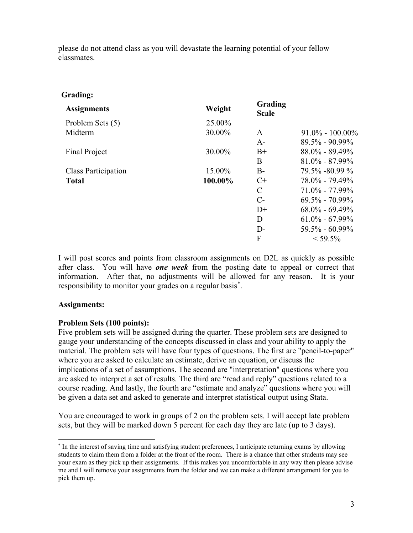please do not attend class as you will devastate the learning potential of your fellow classmates.

## **Grading:**

| <b>Assignments</b>  | Weight  | Grading<br><b>Scale</b> |                     |
|---------------------|---------|-------------------------|---------------------|
| Problem Sets (5)    | 25.00%  |                         |                     |
| Midterm             | 30.00%  | A                       | $91.0\% - 100.00\%$ |
|                     |         | $A-$                    | $89.5\% - 90.99\%$  |
| Final Project       | 30.00%  | $B+$                    | $88.0\% - 89.49\%$  |
|                     |         | B                       | $81.0\% - 87.99\%$  |
| Class Participation | 15.00%  | $B-$                    | $79.5\% - 80.99\%$  |
| <b>Total</b>        | 100.00% | $C+$                    | $78.0\% - 79.49\%$  |
|                     |         | $\mathcal{C}$           | $71.0\% - 77.99\%$  |
|                     |         | $C-$                    | $69.5\% - 70.99\%$  |
|                     |         | $D+$                    | $68.0\% - 69.49\%$  |
|                     |         | D                       | $61.0\% - 67.99\%$  |
|                     |         | $D-$                    | $59.5\% - 60.99\%$  |
|                     |         | F                       | $<$ 59.5%           |

I will post scores and points from classroom assignments on D2L as quickly as possible after class. You will have *one week* from the posting date to appeal or correct that information. After that, no adjustments will be allowed for any reason. It is your responsibility to monitor your grades on a regular basis[\\*](#page-2-0) .

## **Assignments:**

## **Problem Sets (100 points):**

Five problem sets will be assigned during the quarter. These problem sets are designed to gauge your understanding of the concepts discussed in class and your ability to apply the material. The problem sets will have four types of questions. The first are "pencil-to-paper" where you are asked to calculate an estimate, derive an equation, or discuss the implications of a set of assumptions. The second are "interpretation" questions where you are asked to interpret a set of results. The third are "read and reply" questions related to a course reading. And lastly, the fourth are "estimate and analyze" questions where you will be given a data set and asked to generate and interpret statistical output using Stata.

You are encouraged to work in groups of 2 on the problem sets. I will accept late problem sets, but they will be marked down 5 percent for each day they are late (up to 3 days).

<span id="page-2-0"></span> <sup>\*</sup> In the interest of saving time and satisfying student preferences, I anticipate returning exams by allowing students to claim them from a folder at the front of the room. There is a chance that other students may see your exam as they pick up their assignments. If this makes you uncomfortable in any way then please advise me and I will remove your assignments from the folder and we can make a different arrangement for you to pick them up.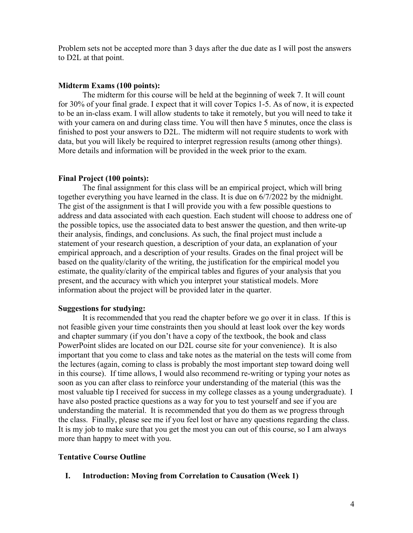Problem sets not be accepted more than 3 days after the due date as I will post the answers to D2L at that point.

#### **Midterm Exams (100 points):**

The midterm for this course will be held at the beginning of week 7. It will count for 30% of your final grade. I expect that it will cover Topics 1-5. As of now, it is expected to be an in-class exam. I will allow students to take it remotely, but you will need to take it with your camera on and during class time. You will then have 5 minutes, once the class is finished to post your answers to D2L. The midterm will not require students to work with data, but you will likely be required to interpret regression results (among other things). More details and information will be provided in the week prior to the exam.

#### **Final Project (100 points):**

The final assignment for this class will be an empirical project, which will bring together everything you have learned in the class. It is due on 6/7/2022 by the midnight. The gist of the assignment is that I will provide you with a few possible questions to address and data associated with each question. Each student will choose to address one of the possible topics, use the associated data to best answer the question, and then write-up their analysis, findings, and conclusions. As such, the final project must include a statement of your research question, a description of your data, an explanation of your empirical approach, and a description of your results. Grades on the final project will be based on the quality/clarity of the writing, the justification for the empirical model you estimate, the quality/clarity of the empirical tables and figures of your analysis that you present, and the accuracy with which you interpret your statistical models. More information about the project will be provided later in the quarter.

#### **Suggestions for studying:**

It is recommended that you read the chapter before we go over it in class. If this is not feasible given your time constraints then you should at least look over the key words and chapter summary (if you don't have a copy of the textbook, the book and class PowerPoint slides are located on our D2L course site for your convenience). It is also important that you come to class and take notes as the material on the tests will come from the lectures (again, coming to class is probably the most important step toward doing well in this course). If time allows, I would also recommend re-writing or typing your notes as soon as you can after class to reinforce your understanding of the material (this was the most valuable tip I received for success in my college classes as a young undergraduate). I have also posted practice questions as a way for you to test yourself and see if you are understanding the material. It is recommended that you do them as we progress through the class. Finally, please see me if you feel lost or have any questions regarding the class. It is my job to make sure that you get the most you can out of this course, so I am always more than happy to meet with you.

### **Tentative Course Outline**

### **I. Introduction: Moving from Correlation to Causation (Week 1)**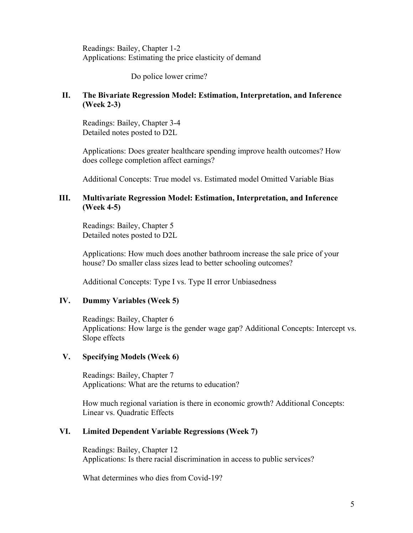Readings: Bailey, Chapter 1-2 Applications: Estimating the price elasticity of demand

Do police lower crime?

## **II. The Bivariate Regression Model: Estimation, Interpretation, and Inference (Week 2-3)**

Readings: Bailey, Chapter 3-4 Detailed notes posted to D2L

Applications: Does greater healthcare spending improve health outcomes? How does college completion affect earnings?

Additional Concepts: True model vs. Estimated model Omitted Variable Bias

### **III. Multivariate Regression Model: Estimation, Interpretation, and Inference (Week 4-5)**

Readings: Bailey, Chapter 5 Detailed notes posted to D2L

Applications: How much does another bathroom increase the sale price of your house? Do smaller class sizes lead to better schooling outcomes?

Additional Concepts: Type I vs. Type II error Unbiasedness

## **IV. Dummy Variables (Week 5)**

Readings: Bailey, Chapter 6 Applications: How large is the gender wage gap? Additional Concepts: Intercept vs. Slope effects

## **V. Specifying Models (Week 6)**

Readings: Bailey, Chapter 7 Applications: What are the returns to education?

How much regional variation is there in economic growth? Additional Concepts: Linear vs. Quadratic Effects

## **VI. Limited Dependent Variable Regressions (Week 7)**

Readings: Bailey, Chapter 12 Applications: Is there racial discrimination in access to public services?

What determines who dies from Covid-19?